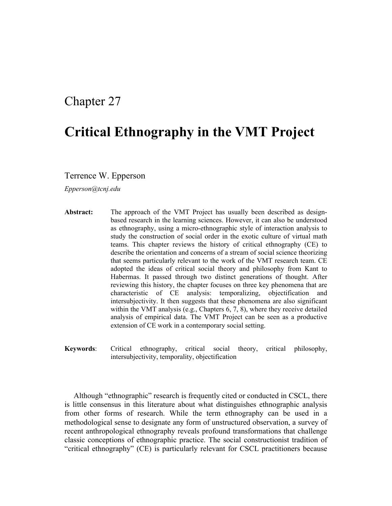# Chapter 27

# **Critical Ethnography in the VMT Project**

Terrence W. Epperson

*Epperson@tcnj.edu*

- **Abstract:** The approach of the VMT Project has usually been described as designbased research in the learning sciences. However, it can also be understood as ethnography, using a micro-ethnographic style of interaction analysis to study the construction of social order in the exotic culture of virtual math teams. This chapter reviews the history of critical ethnography (CE) to describe the orientation and concerns of a stream of social science theorizing that seems particularly relevant to the work of the VMT research team. CE adopted the ideas of critical social theory and philosophy from Kant to Habermas. It passed through two distinct generations of thought. After reviewing this history, the chapter focuses on three key phenomena that are characteristic of CE analysis: temporalizing, objectification and intersubjectivity. It then suggests that these phenomena are also significant within the VMT analysis (e.g., Chapters 6, 7, 8), where they receive detailed analysis of empirical data. The VMT Project can be seen as a productive extension of CE work in a contemporary social setting.
- **Keywords**: Critical ethnography, critical social theory, critical philosophy, intersubjectivity, temporality, objectification

Although "ethnographic" research is frequently cited or conducted in CSCL, there is little consensus in this literature about what distinguishes ethnographic analysis from other forms of research. While the term ethnography can be used in a methodological sense to designate any form of unstructured observation, a survey of recent anthropological ethnography reveals profound transformations that challenge classic conceptions of ethnographic practice. The social constructionist tradition of "critical ethnography" (CE) is particularly relevant for CSCL practitioners because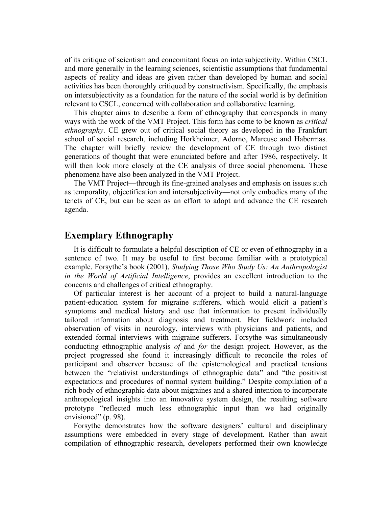of its critique of scientism and concomitant focus on intersubjectivity. Within CSCL and more generally in the learning sciences, scientistic assumptions that fundamental aspects of reality and ideas are given rather than developed by human and social activities has been thoroughly critiqued by constructivism. Specifically, the emphasis on intersubjectivity as a foundation for the nature of the social world is by definition relevant to CSCL, concerned with collaboration and collaborative learning.

This chapter aims to describe a form of ethnography that corresponds in many ways with the work of the VMT Project. This form has come to be known as *critical ethnography*. CE grew out of critical social theory as developed in the Frankfurt school of social research, including Horkheimer, Adorno, Marcuse and Habermas. The chapter will briefly review the development of CE through two distinct generations of thought that were enunciated before and after 1986, respectively. It will then look more closely at the CE analysis of three social phenomena. These phenomena have also been analyzed in the VMT Project.

The VMT Project—through its fine-grained analyses and emphasis on issues such as temporality, objectification and intersubjectivity—not only embodies many of the tenets of CE, but can be seen as an effort to adopt and advance the CE research agenda.

### **Exemplary Ethnography**

It is difficult to formulate a helpful description of CE or even of ethnography in a sentence of two. It may be useful to first become familiar with a prototypical example. Forsythe's book (2001), *Studying Those Who Study Us: An Anthropologist in the World of Artificial Intelligence*, provides an excellent introduction to the concerns and challenges of critical ethnography.

Of particular interest is her account of a project to build a natural-language patient-education system for migraine sufferers, which would elicit a patient's symptoms and medical history and use that information to present individually tailored information about diagnosis and treatment. Her fieldwork included observation of visits in neurology, interviews with physicians and patients, and extended formal interviews with migraine sufferers. Forsythe was simultaneously conducting ethnographic analysis *of* and *for* the design project. However, as the project progressed she found it increasingly difficult to reconcile the roles of participant and observer because of the epistemological and practical tensions between the "relativist understandings of ethnographic data" and "the positivist expectations and procedures of normal system building." Despite compilation of a rich body of ethnographic data about migraines and a shared intention to incorporate anthropological insights into an innovative system design, the resulting software prototype "reflected much less ethnographic input than we had originally envisioned" (p. 98).

Forsythe demonstrates how the software designers' cultural and disciplinary assumptions were embedded in every stage of development. Rather than await compilation of ethnographic research, developers performed their own knowledge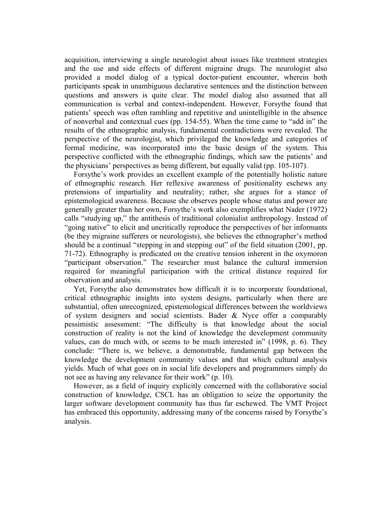acquisition, interviewing a single neurologist about issues like treatment strategies and the use and side effects of different migraine drugs. The neurologist also provided a model dialog of a typical doctor-patient encounter, wherein both participants speak in unambiguous declarative sentences and the distinction between questions and answers is quite clear. The model dialog also assumed that all communication is verbal and context-independent. However, Forsythe found that patients' speech was often rambling and repetitive and unintelligible in the absence of nonverbal and contextual cues (pp. 154-55). When the time came to "add in" the results of the ethnographic analysis, fundamental contradictions were revealed. The perspective of the neurologist, which privileged the knowledge and categories of formal medicine, was incorporated into the basic design of the system. This perspective conflicted with the ethnographic findings, which saw the patients' and the physicians' perspectives as being different, but equally valid (pp. 105-107).

Forsythe's work provides an excellent example of the potentially holistic nature of ethnographic research. Her reflexive awareness of positionality eschews any pretensions of impartiality and neutrality; rather, she argues for a stance of epistemological awareness. Because she observes people whose status and power are generally greater than her own, Forsythe's work also exemplifies what Nader (1972) calls "studying up," the antithesis of traditional colonialist anthropology. Instead of "going native" to elicit and uncritically reproduce the perspectives of her informants (be they migraine sufferers or neurologists), she believes the ethnographer's method should be a continual "stepping in and stepping out" of the field situation (2001, pp. 71-72). Ethnography is predicated on the creative tension inherent in the oxymoron "participant observation." The researcher must balance the cultural immersion required for meaningful participation with the critical distance required for observation and analysis.

Yet, Forsythe also demonstrates how difficult it is to incorporate foundational, critical ethnographic insights into system designs, particularly when there are substantial, often unrecognized, epistemological differences between the worldviews of system designers and social scientists. Bader & Nyce offer a comparably pessimistic assessment: "The difficulty is that knowledge about the social construction of reality is not the kind of knowledge the development community values, can do much with, or seems to be much interested in" (1998, p. 6). They conclude: "There is, we believe, a demonstrable, fundamental gap between the knowledge the development community values and that which cultural analysis yields. Much of what goes on in social life developers and programmers simply do not see as having any relevance for their work" (p. 10).

However, as a field of inquiry explicitly concerned with the collaborative social construction of knowledge, CSCL has an obligation to seize the opportunity the larger software development community has thus far eschewed. The VMT Project has embraced this opportunity, addressing many of the concerns raised by Forsythe's analysis.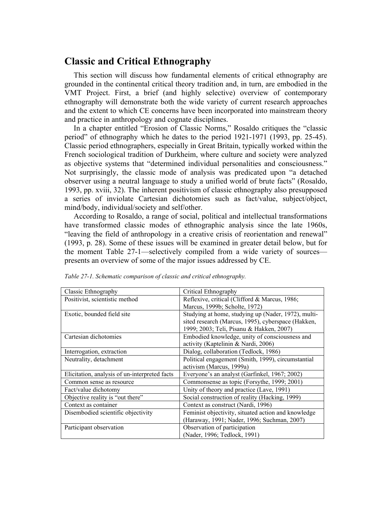# **Classic and Critical Ethnography**

This section will discuss how fundamental elements of critical ethnography are grounded in the continental critical theory tradition and, in turn, are embodied in the VMT Project. First, a brief (and highly selective) overview of contemporary ethnography will demonstrate both the wide variety of current research approaches and the extent to which CE concerns have been incorporated into mainstream theory and practice in anthropology and cognate disciplines.

In a chapter entitled "Erosion of Classic Norms," Rosaldo critiques the "classic period" of ethnography which he dates to the period 1921-1971 (1993, pp. 25-45). Classic period ethnographers, especially in Great Britain, typically worked within the French sociological tradition of Durkheim, where culture and society were analyzed as objective systems that "determined individual personalities and consciousness." Not surprisingly, the classic mode of analysis was predicated upon "a detached observer using a neutral language to study a unified world of brute facts" (Rosaldo, 1993, pp. xviii, 32). The inherent positivism of classic ethnography also presupposed a series of inviolate Cartesian dichotomies such as fact/value, subject/object, mind/body, individual/society and self/other.

According to Rosaldo, a range of social, political and intellectual transformations have transformed classic modes of ethnographic analysis since the late 1960s, "leaving the field of anthropology in a creative crisis of reorientation and renewal" (1993, p. 28). Some of these issues will be examined in greater detail below, but for the moment Table 27-1—selectively compiled from a wide variety of sources presents an overview of some of the major issues addressed by CE.

| Classic Ethnography                           | Critical Ethnography                                |
|-----------------------------------------------|-----------------------------------------------------|
| Positivist, scientistic method                | Reflexive, critical (Clifford & Marcus, 1986;       |
|                                               | Marcus, 1999b; Scholte, 1972)                       |
| Exotic, bounded field site                    | Studying at home, studying up (Nader, 1972), multi- |
|                                               | sited research (Marcus, 1995), cyberspace (Hakken,  |
|                                               | 1999; 2003; Teli, Pisanu & Hakken, 2007)            |
| Cartesian dichotomies                         | Embodied knowledge, unity of consciousness and      |
|                                               | activity (Kaptelinin & Nardi, 2006)                 |
| Interrogation, extraction                     | Dialog, collaboration (Tedlock, 1986)               |
| Neutrality, detachment                        | Political engagement (Smith, 1999), circumstantial  |
|                                               | activism (Marcus, 1999a)                            |
| Elicitation, analysis of un-interpreted facts | Everyone's an analyst (Garfinkel, 1967; 2002)       |
| Common sense as resource                      | Commonsense as topic (Forsythe, 1999; 2001)         |
| Fact/value dichotomy                          | Unity of theory and practice (Lave, 1991)           |
| Objective reality is "out there"              | Social construction of reality (Hacking, 1999)      |
| Context as container                          | Context as construct (Nardi, 1996)                  |
| Disembodied scientific objectivity            | Feminist objectivity, situated action and knowledge |
|                                               | (Haraway, 1991; Nader, 1996; Suchman, 2007)         |
| Participant observation                       | Observation of participation                        |
|                                               | (Nader, 1996; Tedlock, 1991)                        |

*Table 27-1. Schematic comparison of classic and critical ethnography.*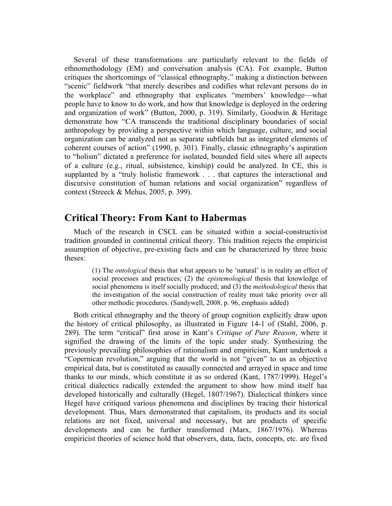Several of these transformations are particularly relevant to the fields of ethnomethodology (EM) and conversation analysis (CA). For example, Button critiques the shortcomings of "classical ethnography," making a distinction between "scenic" fieldwork "that merely describes and codifies what relevant persons do in the workplace" and ethnography that explicates "members' knowledge—what people have to know to do work, and how that knowledge is deployed in the ordering and organization of work" (Button, 2000, p. 319). Similarly, Goodwin & Heritage demonstrate how "CA transcends the traditional disciplinary boundaries of social anthropology by providing a perspective within which language, culture, and social organization can be analyzed not as separate subfields but as integrated elements of coherent courses of action" (1990, p. 301). Finally, classic ethnography's aspiration to "holism" dictated a preference for isolated, bounded field sites where all aspects of a culture (e.g., ritual, subsistence, kinship) could be analyzed. In CE, this is supplanted by a "truly holistic framework . . . that captures the interactional and discursive constitution of human relations and social organization" regardless of context (Streeck & Mehus, 2005, p. 399).

### **Critical Theory: From Kant to Habermas**

Much of the research in CSCL can be situated within a social-constructivist tradition grounded in continental critical theory. This tradition rejects the empiricist assumption of objective, pre-existing facts and can be characterized by three basic theses:

> (1) The *ontological* thesis that what appears to be 'natural' is in reality an effect of social processes and practices; (2) the *epistemological* thesis that knowledge of social phenomena is itself socially produced; and (3) the *methodological* thesis that the investigation of the social construction of reality must take priority over all other methodic procedures. (Sandywell, 2008, p. 96, emphasis added)

Both critical ethnography and the theory of group cognition explicitly draw upon the history of critical philosophy, as illustrated in Figure 14-1 of (Stahl, 2006, p. 289). The term "critical" first arose in Kant's *Critique of Pure Reason*, where it signified the drawing of the limits of the topic under study. Synthesizing the previously prevailing philosophies of rationalism and empiricism, Kant undertook a "Copernican revolution," arguing that the world is not "given" to us as objective empirical data, but is constituted as causally connected and arrayed in space and time thanks to our minds, which constitute it as so ordered (Kant, 1787/1999). Hegel's critical dialectics radically extended the argument to show how mind itself has developed historically and culturally (Hegel, 1807/1967). Dialectical thinkers since Hegel have critiqued various phenomena and disciplines by tracing their historical development. Thus, Marx demonstrated that capitalism, its products and its social relations are not fixed, universal and necessary, but are products of specific developments and can be further transformed (Marx, 1867/1976). Whereas empiricist theories of science hold that observers, data, facts, concepts, etc. are fixed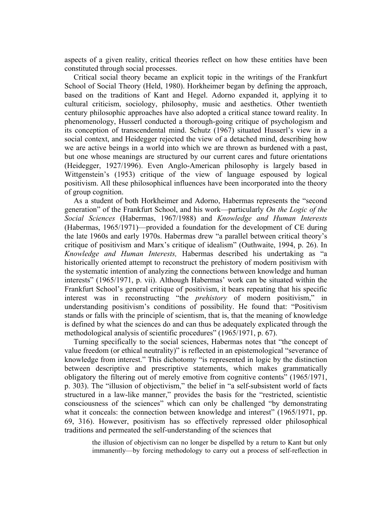aspects of a given reality, critical theories reflect on how these entities have been constituted through social processes.

Critical social theory became an explicit topic in the writings of the Frankfurt School of Social Theory (Held, 1980). Horkheimer began by defining the approach, based on the traditions of Kant and Hegel. Adorno expanded it, applying it to cultural criticism, sociology, philosophy, music and aesthetics. Other twentieth century philosophic approaches have also adopted a critical stance toward reality. In phenomenology, Husserl conducted a thorough-going critique of psychologism and its conception of transcendental mind. Schutz (1967) situated Husserl's view in a social context, and Heidegger rejected the view of a detached mind, describing how we are active beings in a world into which we are thrown as burdened with a past, but one whose meanings are structured by our current cares and future orientations (Heidegger, 1927/1996). Even Anglo-American philosophy is largely based in Wittgenstein's (1953) critique of the view of language espoused by logical positivism. All these philosophical influences have been incorporated into the theory of group cognition.

As a student of both Horkheimer and Adorno, Habermas represents the "second generation" of the Frankfurt School, and his work—particularly *On the Logic of the Social Sciences* (Habermas, 1967/1988) and *Knowledge and Human Interests* (Habermas, 1965/1971)—provided a foundation for the development of CE during the late 1960s and early 1970s. Habermas drew "a parallel between critical theory's critique of positivism and Marx's critique of idealism" (Outhwaite, 1994, p. 26). In *Knowledge and Human Interests,* Habermas described his undertaking as "a historically oriented attempt to reconstruct the prehistory of modern positivism with the systematic intention of analyzing the connections between knowledge and human interests" (1965/1971, p. vii). Although Habermas' work can be situated within the Frankfurt School's general critique of positivism, it bears repeating that his specific interest was in reconstructing "the *prehistory* of modern positivism," in understanding positivism's conditions of possibility. He found that: "Positivism stands or falls with the principle of scientism, that is, that the meaning of knowledge is defined by what the sciences do and can thus be adequately explicated through the methodological analysis of scientific procedures" (1965/1971, p. 67).

Turning specifically to the social sciences, Habermas notes that "the concept of value freedom (or ethical neutrality)" is reflected in an epistemological "severance of knowledge from interest." This dichotomy "is represented in logic by the distinction between descriptive and prescriptive statements, which makes grammatically obligatory the filtering out of merely emotive from cognitive contents" (1965/1971, p. 303). The "illusion of objectivism," the belief in "a self-subsistent world of facts structured in a law-like manner," provides the basis for the "restricted, scientistic consciousness of the sciences" which can only be challenged "by demonstrating what it conceals: the connection between knowledge and interest" (1965/1971, pp. 69, 316). However, positivism has so effectively repressed older philosophical traditions and permeated the self-understanding of the sciences that

> the illusion of objectivism can no longer be dispelled by a return to Kant but only immanently—by forcing methodology to carry out a process of self-reflection in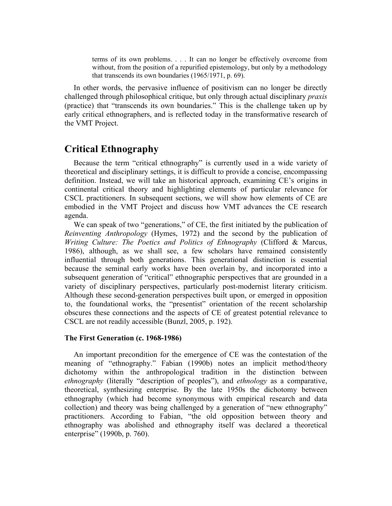terms of its own problems. . . . It can no longer be effectively overcome from without, from the position of a repurified epistemology, but only by a methodology that transcends its own boundaries (1965/1971, p. 69).

In other words, the pervasive influence of positivism can no longer be directly challenged through philosophical critique, but only through actual disciplinary *praxis* (practice) that "transcends its own boundaries." This is the challenge taken up by early critical ethnographers, and is reflected today in the transformative research of the VMT Project.

## **Critical Ethnography**

Because the term "critical ethnography" is currently used in a wide variety of theoretical and disciplinary settings, it is difficult to provide a concise, encompassing definition. Instead, we will take an historical approach, examining CE's origins in continental critical theory and highlighting elements of particular relevance for CSCL practitioners. In subsequent sections, we will show how elements of CE are embodied in the VMT Project and discuss how VMT advances the CE research agenda.

We can speak of two "generations," of CE, the first initiated by the publication of *Reinventing Anthropology* (Hymes, 1972) and the second by the publication of *Writing Culture: The Poetics and Politics of Ethnography* (Clifford & Marcus, 1986), although, as we shall see, a few scholars have remained consistently influential through both generations. This generational distinction is essential because the seminal early works have been overlain by, and incorporated into a subsequent generation of "critical" ethnographic perspectives that are grounded in a variety of disciplinary perspectives, particularly post-modernist literary criticism. Although these second-generation perspectives built upon, or emerged in opposition to, the foundational works, the "presentist" orientation of the recent scholarship obscures these connections and the aspects of CE of greatest potential relevance to CSCL are not readily accessible (Bunzl, 2005, p. 192).

### **The First Generation (c. 1968-1986)**

An important precondition for the emergence of CE was the contestation of the meaning of "ethnography." Fabian (1990b) notes an implicit method/theory dichotomy within the anthropological tradition in the distinction between *ethnography* (literally "description of peoples"), and *ethnology* as a comparative, theoretical, synthesizing enterprise. By the late 1950s the dichotomy between ethnography (which had become synonymous with empirical research and data collection) and theory was being challenged by a generation of "new ethnography" practitioners. According to Fabian, "the old opposition between theory and ethnography was abolished and ethnography itself was declared a theoretical enterprise" (1990b, p. 760).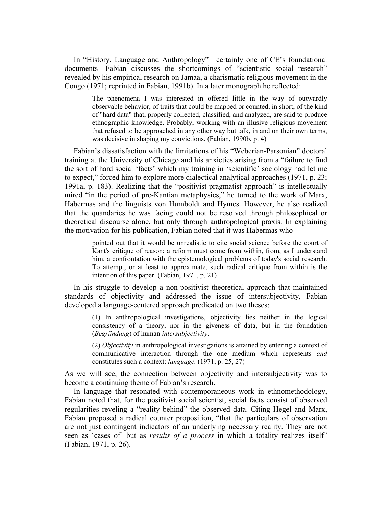In "History, Language and Anthropology"—certainly one of CE's foundational documents—Fabian discusses the shortcomings of "scientistic social research" revealed by his empirical research on Jamaa, a charismatic religious movement in the Congo (1971; reprinted in Fabian, 1991b). In a later monograph he reflected:

> The phenomena I was interested in offered little in the way of outwardly observable behavior, of traits that could be mapped or counted, in short, of the kind of "hard data" that, properly collected, classified, and analyzed, are said to produce ethnographic knowledge. Probably, working with an illusive religious movement that refused to be approached in any other way but talk, in and on their own terms, was decisive in shaping my convictions. (Fabian, 1990b, p. 4)

Fabian's dissatisfaction with the limitations of his "Weberian-Parsonian" doctoral training at the University of Chicago and his anxieties arising from a "failure to find the sort of hard social 'facts' which my training in 'scientific' sociology had let me to expect," forced him to explore more dialectical analytical approaches (1971, p. 23; 1991a, p. 183). Realizing that the "positivist-pragmatist approach" is intellectually mired "in the period of pre-Kantian metaphysics," he turned to the work of Marx, Habermas and the linguists von Humboldt and Hymes. However, he also realized that the quandaries he was facing could not be resolved through philosophical or theoretical discourse alone, but only through anthropological praxis. In explaining the motivation for his publication, Fabian noted that it was Habermas who

> pointed out that it would be unrealistic to cite social science before the court of Kant's critique of reason; a reform must come from within, from, as I understand him, a confrontation with the epistemological problems of today's social research. To attempt, or at least to approximate, such radical critique from within is the intention of this paper. (Fabian, 1971, p. 21)

In his struggle to develop a non-positivist theoretical approach that maintained standards of objectivity and addressed the issue of intersubjectivity, Fabian developed a language-centered approach predicated on two theses:

> (1) In anthropological investigations, objectivity lies neither in the logical consistency of a theory, nor in the giveness of data, but in the foundation (*Begründung*) of human *intersubjectivity*.

> (2) *Objectivity* in anthropological investigations is attained by entering a context of communicative interaction through the one medium which represents *and* constitutes such a context: *language.* (1971, p. 25, 27)

As we will see, the connection between objectivity and intersubjectivity was to become a continuing theme of Fabian's research.

In language that resonated with contemporaneous work in ethnomethodology, Fabian noted that, for the positivist social scientist, social facts consist of observed regularities reveling a "reality behind" the observed data. Citing Hegel and Marx, Fabian proposed a radical counter proposition, "that the particulars of observation are not just contingent indicators of an underlying necessary reality. They are not seen as 'cases of' but as *results of a process* in which a totality realizes itself" (Fabian, 1971, p. 26).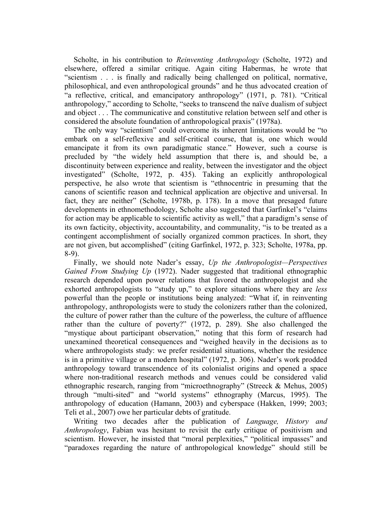Scholte, in his contribution to *Reinventing Anthropology* (Scholte, 1972) and elsewhere, offered a similar critique. Again citing Habermas, he wrote that "scientism . . . is finally and radically being challenged on political, normative, philosophical, and even anthropological grounds" and he thus advocated creation of "a reflective, critical, and emancipatory anthropology" (1971, p. 781). "Critical anthropology," according to Scholte, "seeks to transcend the naïve dualism of subject and object . . . The communicative and constitutive relation between self and other is considered the absolute foundation of anthropological praxis" (1978a).

The only way "scientism" could overcome its inherent limitations would be "to embark on a self-reflexive and self-critical course, that is, one which would emancipate it from its own paradigmatic stance." However, such a course is precluded by "the widely held assumption that there is, and should be, a discontinuity between experience and reality, between the investigator and the object investigated" (Scholte, 1972, p. 435). Taking an explicitly anthropological perspective, he also wrote that scientism is "ethnocentric in presuming that the canons of scientific reason and technical application are objective and universal. In fact, they are neither" (Scholte, 1978b, p. 178). In a move that presaged future developments in ethnomethodology, Scholte also suggested that Garfinkel's "claims for action may be applicable to scientific activity as well," that a paradigm's sense of its own facticity, objectivity, accountability, and communality, "is to be treated as a contingent accomplishment of socially organized common practices. In short, they are not given, but accomplished" (citing Garfinkel, 1972, p. 323; Scholte, 1978a, pp. 8-9).

Finally, we should note Nader's essay, *Up the Anthropologist—Perspectives Gained From Studying Up* (1972). Nader suggested that traditional ethnographic research depended upon power relations that favored the anthropologist and she exhorted anthropologists to "study up," to explore situations where they are *less* powerful than the people or institutions being analyzed: "What if, in reinventing anthropology, anthropologists were to study the colonizers rather than the colonized, the culture of power rather than the culture of the powerless, the culture of affluence rather than the culture of poverty?" (1972, p. 289). She also challenged the "mystique about participant observation," noting that this form of research had unexamined theoretical consequences and "weighed heavily in the decisions as to where anthropologists study: we prefer residential situations, whether the residence is in a primitive village or a modern hospital" (1972, p. 306). Nader's work prodded anthropology toward transcendence of its colonialist origins and opened a space where non-traditional research methods and venues could be considered valid ethnographic research, ranging from "microethnography" (Streeck & Mehus, 2005) through "multi-sited" and "world systems" ethnography (Marcus, 1995). The anthropology of education (Hamann, 2003) and cyberspace (Hakken, 1999; 2003; Teli et al., 2007) owe her particular debts of gratitude.

Writing two decades after the publication of *Language, History and Anthropology*, Fabian was hesitant to revisit the early critique of positivism and scientism. However, he insisted that "moral perplexities," "political impasses" and "paradoxes regarding the nature of anthropological knowledge" should still be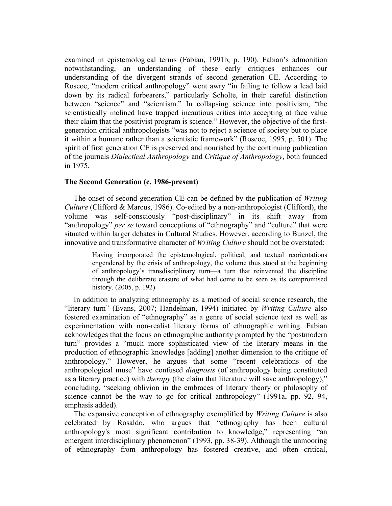examined in epistemological terms (Fabian, 1991b, p. 190). Fabian's admonition notwithstanding, an understanding of these early critiques enhances our understanding of the divergent strands of second generation CE. According to Roscoe, "modern critical anthropology" went awry "in failing to follow a lead laid down by its radical forbearers," particularly Scholte, in their careful distinction between "science" and "scientism." In collapsing science into positivism, "the scientistically inclined have trapped incautious critics into accepting at face value their claim that the positivist program is science." However, the objective of the firstgeneration critical anthropologists "was not to reject a science of society but to place it within a humane rather than a scientistic framework" (Roscoe, 1995, p. 501). The spirit of first generation CE is preserved and nourished by the continuing publication of the journals *Dialectical Anthropology* and *Critique of Anthropology*, both founded in 1975.

### **The Second Generation (c. 1986-present)**

The onset of second generation CE can be defined by the publication of *Writing Culture* (Clifford & Marcus, 1986). Co-edited by a non-anthropologist (Clifford), the volume was self-consciously "post-disciplinary" in its shift away from "anthropology" *per se* toward conceptions of "ethnography" and "culture" that were situated within larger debates in Cultural Studies. However, according to Bunzel, the innovative and transformative character of *Writing Culture* should not be overstated:

> Having incorporated the epistemological, political, and textual reorientations engendered by the crisis of anthropology, the volume thus stood at the beginning of anthropology's transdisciplinary turn—a turn that reinvented the discipline through the deliberate erasure of what had come to be seen as its compromised history. (2005, p. 192)

In addition to analyzing ethnography as a method of social science research, the "literary turn" (Evans, 2007; Handelman, 1994) initiated by *Writing Culture* also fostered examination of "ethnography" as a genre of social science text as well as experimentation with non-realist literary forms of ethnographic writing. Fabian acknowledges that the focus on ethnographic authority prompted by the "postmodern turn" provides a "much more sophisticated view of the literary means in the production of ethnographic knowledge [adding] another dimension to the critique of anthropology." However, he argues that some "recent celebrations of the anthropological muse" have confused *diagnosis* (of anthropology being constituted as a literary practice) with *therapy* (the claim that literature will save anthropology)," concluding, "seeking oblivion in the embraces of literary theory or philosophy of science cannot be the way to go for critical anthropology" (1991a, pp. 92, 94, emphasis added).

The expansive conception of ethnography exemplified by *Writing Culture* is also celebrated by Rosaldo, who argues that "ethnography has been cultural anthropology's most significant contribution to knowledge," representing "an emergent interdisciplinary phenomenon" (1993, pp. 38-39). Although the unmooring of ethnography from anthropology has fostered creative, and often critical,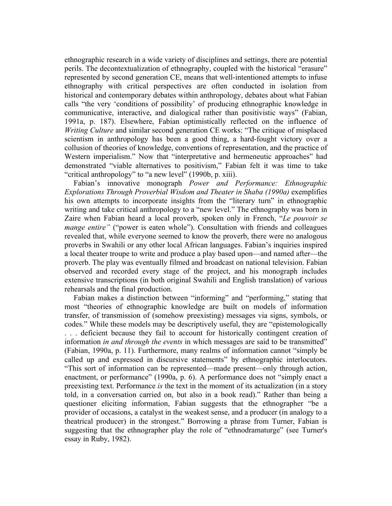ethnographic research in a wide variety of disciplines and settings, there are potential perils. The decontextualization of ethnography, coupled with the historical "erasure" represented by second generation CE, means that well-intentioned attempts to infuse ethnography with critical perspectives are often conducted in isolation from historical and contemporary debates within anthropology, debates about what Fabian calls "the very 'conditions of possibility' of producing ethnographic knowledge in communicative, interactive, and dialogical rather than positivistic ways" (Fabian, 1991a, p. 187). Elsewhere, Fabian optimistically reflected on the influence of *Writing Culture* and similar second generation CE works: "The critique of misplaced scientism in anthropology has been a good thing, a hard-fought victory over a collusion of theories of knowledge, conventions of representation, and the practice of Western imperialism." Now that "interpretative and hermeneutic approaches" had demonstrated "viable alternatives to positivism," Fabian felt it was time to take "critical anthropology" to "a new level" (1990b, p. xiii).

Fabian's innovative monograph *Power and Performance: Ethnographic Explorations Through Proverbial Wisdom and Theater in Shaba (1990a)* exemplifies his own attempts to incorporate insights from the "literary turn" in ethnographic writing and take critical anthropology to a "new level." The ethnography was born in Zaire when Fabian heard a local proverb, spoken only in French, "*Le pouvoir se mange entire*" ("power is eaten whole"). Consultation with friends and colleagues revealed that, while everyone seemed to know the proverb, there were no analogous proverbs in Swahili or any other local African languages. Fabian's inquiries inspired a local theater troupe to write and produce a play based upon—and named after—the proverb. The play was eventually filmed and broadcast on national television. Fabian observed and recorded every stage of the project, and his monograph includes extensive transcriptions (in both original Swahili and English translation) of various rehearsals and the final production.

Fabian makes a distinction between "informing" and "performing," stating that most "theories of ethnographic knowledge are built on models of information transfer, of transmission of (somehow preexisting) messages via signs, symbols, or codes." While these models may be descriptively useful, they are "epistemologically . . . deficient because they fail to account for historically contingent creation of information *in and through the events* in which messages are said to be transmitted" (Fabian, 1990a, p. 11). Furthermore, many realms of information cannot "simply be called up and expressed in discursive statements" by ethnographic interlocutors. "This sort of information can be represented—made present—only through action, enactment, or performance" (1990a, p. 6). A performance does not "simply enact a preexisting text. Performance *is* the text in the moment of its actualization (in a story told, in a conversation carried on, but also in a book read)." Rather than being a questioner eliciting information, Fabian suggests that the ethnographer "be a provider of occasions, a catalyst in the weakest sense, and a producer (in analogy to a theatrical producer) in the strongest." Borrowing a phrase from Turner, Fabian is suggesting that the ethnographer play the role of "ethnodramaturge" (see Turner's essay in Ruby, 1982).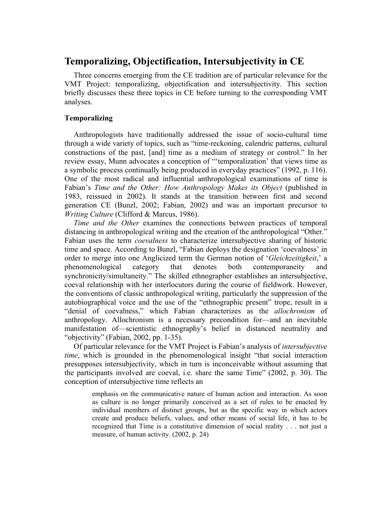# **Temporalizing, Objectification, Intersubjectivity in CE**

Three concerns emerging from the CE tradition are of particular relevance for the VMT Project: temporalizing, objectification and intersubjectivity. This section briefly discusses these three topics in CE before turning to the corresponding VMT analyses.

### **Temporalizing**

Anthropologists have traditionally addressed the issue of socio-cultural time through a wide variety of topics, such as "time-reckoning, calendric patterns, cultural constructions of the past, [and] time as a medium of strategy or control." In her review essay, Munn advocates a conception of "'temporalization' that views time as a symbolic process continually being produced in everyday practices" (1992, p. 116). One of the most radical and influential anthropological examinations of time is Fabian's *Time and the Other: How Anthropology Makes its Object* (published in 1983, reissued in 2002). It stands at the transition between first and second generation CE (Bunzl, 2002; Fabian, 2002) and was an important precursor to *Writing Culture* (Clifford & Marcus, 1986).

*Time and the Other* examines the connections between practices of temporal distancing in anthropological writing and the creation of the anthropological "Other." Fabian uses the term *coevalness* to characterize intersubjective sharing of historic time and space. According to Bunzl, "Fabian deploys the designation 'coevalness' in order to merge into one Anglicized term the German notion of '*Gleichzeitigkeit*,' a phenomenological category that denotes both contemporaneity and synchronicity/simultaneity." The skilled ethnographer establishes an intersubjective, coeval relationship with her interlocutors during the course of fieldwork. However, the conventions of classic anthropological writing, particularly the suppression of the autobiographical voice and the use of the "ethnographic present" trope, result in a "denial of coevalness," which Fabian characterizes as the *allochronism* of anthropology. Allochronism is a necessary precondition for—and an inevitable manifestation of—scientistic ethnography's belief in distanced neutrality and "objectivity" (Fabian, 2002, pp. 1-35).

Of particular relevance for the VMT Project is Fabian's analysis of *intersubjective time*, which is grounded in the phenomenological insight "that social interaction presupposes intersubjectivity, which in turn is inconceivable without assuming that the participants involved are coeval, i.e. share the same Time" (2002, p. 30). The conception of intersubjective time reflects an

> emphasis on the communicative nature of human action and interaction. As soon as culture is no longer primarily conceived as a set of rules to be enacted by individual members of distinct groups, but as the specific way in which actors create and produce beliefs, values, and other means of social life, it has to be recognized that Time is a constitutive dimension of social reality . . . not just a measure, of human activity. (2002, p. 24)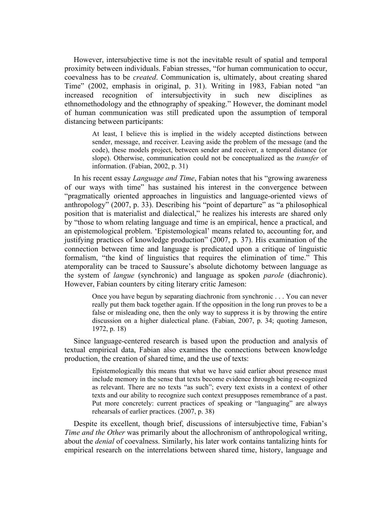However, intersubjective time is not the inevitable result of spatial and temporal proximity between individuals. Fabian stresses, "for human communication to occur, coevalness has to be *created*. Communication is, ultimately, about creating shared Time" (2002, emphasis in original, p. 31). Writing in 1983, Fabian noted "an increased recognition of intersubjectivity in such new disciplines as ethnomethodology and the ethnography of speaking." However, the dominant model of human communication was still predicated upon the assumption of temporal distancing between participants:

> At least, I believe this is implied in the widely accepted distinctions between sender, message, and receiver. Leaving aside the problem of the message (and the code), these models project, between sender and receiver, a temporal distance (or slope). Otherwise, communication could not be conceptualized as the *transfer* of information. (Fabian, 2002, p. 31)

In his recent essay *Language and Time*, Fabian notes that his "growing awareness of our ways with time" has sustained his interest in the convergence between "pragmatically oriented approaches in linguistics and language-oriented views of anthropology" (2007, p. 33). Describing his "point of departure" as "a philosophical position that is materialist and dialectical," he realizes his interests are shared only by "those to whom relating language and time is an empirical, hence a practical, and an epistemological problem. 'Epistemological' means related to, accounting for, and justifying practices of knowledge production" (2007, p. 37). His examination of the connection between time and language is predicated upon a critique of linguistic formalism, "the kind of linguistics that requires the elimination of time." This atemporality can be traced to Saussure's absolute dichotomy between language as the system of *langue* (synchronic) and language as spoken *parole* (diachronic). However, Fabian counters by citing literary critic Jameson:

> Once you have begun by separating diachronic from synchronic . . . You can never really put them back together again. If the opposition in the long run proves to be a false or misleading one, then the only way to suppress it is by throwing the entire discussion on a higher dialectical plane. (Fabian, 2007, p. 34; quoting Jameson, 1972, p. 18)

Since language-centered research is based upon the production and analysis of textual empirical data, Fabian also examines the connections between knowledge production, the creation of shared time, and the use of texts:

> Epistemologically this means that what we have said earlier about presence must include memory in the sense that texts become evidence through being re-cognized as relevant. There are no texts "as such"; every text exists in a context of other texts and our ability to recognize such context presupposes remembrance of a past. Put more concretely: current practices of speaking or "languaging" are always rehearsals of earlier practices. (2007, p. 38)

Despite its excellent, though brief, discussions of intersubjective time, Fabian's *Time and the Other* was primarily about the allochronism of anthropological writing, about the *denial* of coevalness. Similarly, his later work contains tantalizing hints for empirical research on the interrelations between shared time, history, language and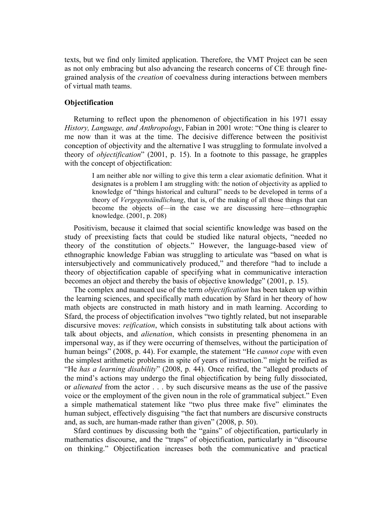texts, but we find only limited application. Therefore, the VMT Project can be seen as not only embracing but also advancing the research concerns of CE through finegrained analysis of the *creation* of coevalness during interactions between members of virtual math teams.

### **Objectification**

Returning to reflect upon the phenomenon of objectification in his 1971 essay *History, Language, and Anthropology*, Fabian in 2001 wrote: "One thing is clearer to me now than it was at the time. The decisive difference between the positivist conception of objectivity and the alternative I was struggling to formulate involved a theory of *objectification*" (2001, p. 15). In a footnote to this passage, he grapples with the concept of objectification:

> I am neither able nor willing to give this term a clear axiomatic definition. What it designates is a problem I am struggling with: the notion of objectivity as applied to knowledge of "things historical and cultural" needs to be developed in terms of a theory of *Vergegenständlichung*, that is, of the making of all those things that can become the objects of—in the case we are discussing here—ethnographic knowledge. (2001, p. 208)

Positivism, because it claimed that social scientific knowledge was based on the study of preexisting facts that could be studied like natural objects, "needed no theory of the constitution of objects." However, the language-based view of ethnographic knowledge Fabian was struggling to articulate was "based on what is intersubjectively and communicatively produced," and therefore "had to include a theory of objectification capable of specifying what in communicative interaction becomes an object and thereby the basis of objective knowledge" (2001, p. 15).

The complex and nuanced use of the term *objectification* has been taken up within the learning sciences, and specifically math education by Sfard in her theory of how math objects are constructed in math history and in math learning. According to Sfard, the process of objectification involves "two tightly related, but not inseparable discursive moves: *reification*, which consists in substituting talk about actions with talk about objects, and *alienation*, which consists in presenting phenomena in an impersonal way, as if they were occurring of themselves, without the participation of human beings" (2008, p. 44). For example, the statement "He *cannot cope* with even the simplest arithmetic problems in spite of years of instruction." might be reified as "He *has a learning disability*" (2008, p. 44). Once reified, the "alleged products of the mind's actions may undergo the final objectification by being fully dissociated, or *alienated* from the actor . . . by such discursive means as the use of the passive voice or the employment of the given noun in the role of grammatical subject." Even a simple mathematical statement like "two plus three make five" eliminates the human subject, effectively disguising "the fact that numbers are discursive constructs and, as such, are human-made rather than given" (2008, p. 50).

Sfard continues by discussing both the "gains" of objectification, particularly in mathematics discourse, and the "traps" of objectification, particularly in "discourse on thinking." Objectification increases both the communicative and practical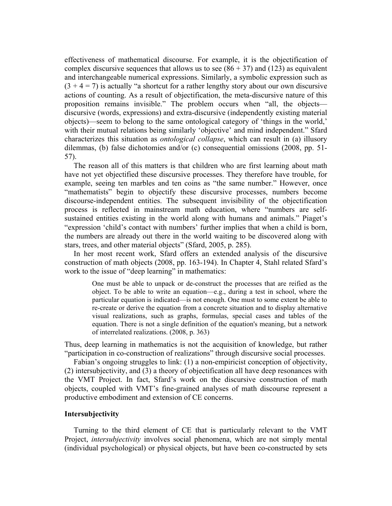effectiveness of mathematical discourse. For example, it is the objectification of complex discursive sequences that allows us to see  $(86 + 37)$  and  $(123)$  as equivalent and interchangeable numerical expressions. Similarly, a symbolic expression such as  $(3 + 4 = 7)$  is actually "a shortcut for a rather lengthy story about our own discursive actions of counting. As a result of objectification, the meta-discursive nature of this proposition remains invisible." The problem occurs when "all, the objects discursive (words, expressions) and extra-discursive (independently existing material objects)—seem to belong to the same ontological category of 'things in the world,' with their mutual relations being similarly 'objective' and mind independent." Sfard characterizes this situation as *ontological collapse*, which can result in (a) illusory dilemmas, (b) false dichotomies and/or (c) consequential omissions (2008, pp. 51- 57).

The reason all of this matters is that children who are first learning about math have not yet objectified these discursive processes. They therefore have trouble, for example, seeing ten marbles and ten coins as "the same number." However, once "mathematists" begin to objectify these discursive processes, numbers become discourse-independent entities. The subsequent invisibility of the objectification process is reflected in mainstream math education, where "numbers are selfsustained entities existing in the world along with humans and animals." Piaget's "expression 'child's contact with numbers' further implies that when a child is born, the numbers are already out there in the world waiting to be discovered along with stars, trees, and other material objects" (Sfard, 2005, p. 285).

In her most recent work, Sfard offers an extended analysis of the discursive construction of math objects (2008, pp. 163-194). In Chapter 4, Stahl related Sfard's work to the issue of "deep learning" in mathematics:

> One must be able to unpack or de-construct the processes that are reified as the object. To be able to write an equation—e.g., during a test in school, where the particular equation is indicated—is not enough. One must to some extent be able to re-create or derive the equation from a concrete situation and to display alternative visual realizations, such as graphs, formulas, special cases and tables of the equation. There is not a single definition of the equation's meaning, but a network of interrelated realizations. (2008, p. 363)

Thus, deep learning in mathematics is not the acquisition of knowledge, but rather "participation in co-construction of realizations" through discursive social processes.

Fabian's ongoing struggles to link: (1) a non-empiricist conception of objectivity, (2) intersubjectivity, and (3) a theory of objectification all have deep resonances with the VMT Project. In fact, Sfard's work on the discursive construction of math objects, coupled with VMT's fine-grained analyses of math discourse represent a productive embodiment and extension of CE concerns.

#### **Intersubjectivity**

Turning to the third element of CE that is particularly relevant to the VMT Project, *intersubjectivity* involves social phenomena, which are not simply mental (individual psychological) or physical objects, but have been co-constructed by sets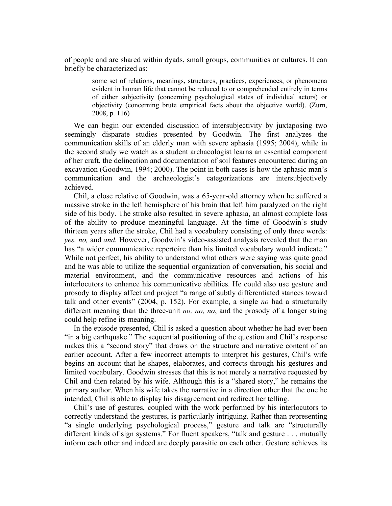of people and are shared within dyads, small groups, communities or cultures. It can briefly be characterized as:

> some set of relations, meanings, structures, practices, experiences, or phenomena evident in human life that cannot be reduced to or comprehended entirely in terms of either subjectivity (concerning psychological states of individual actors) or objectivity (concerning brute empirical facts about the objective world). (Zurn, 2008, p. 116)

We can begin our extended discussion of intersubjectivity by juxtaposing two seemingly disparate studies presented by Goodwin. The first analyzes the communication skills of an elderly man with severe aphasia (1995; 2004), while in the second study we watch as a student archaeologist learns an essential component of her craft, the delineation and documentation of soil features encountered during an excavation (Goodwin, 1994; 2000). The point in both cases is how the aphasic man's communication and the archaeologist's categorizations are intersubjectively achieved.

Chil, a close relative of Goodwin, was a 65-year-old attorney when he suffered a massive stroke in the left hemisphere of his brain that left him paralyzed on the right side of his body. The stroke also resulted in severe aphasia, an almost complete loss of the ability to produce meaningful language. At the time of Goodwin's study thirteen years after the stroke, Chil had a vocabulary consisting of only three words: *yes, no,* and *and.* However, Goodwin's video-assisted analysis revealed that the man has "a wider communicative repertoire than his limited vocabulary would indicate." While not perfect, his ability to understand what others were saying was quite good and he was able to utilize the sequential organization of conversation, his social and material environment, and the communicative resources and actions of his interlocutors to enhance his communicative abilities. He could also use gesture and prosody to display affect and project "a range of subtly differentiated stances toward talk and other events" (2004, p. 152). For example, a single *no* had a structurally different meaning than the three-unit *no, no, no*, and the prosody of a longer string could help refine its meaning.

In the episode presented, Chil is asked a question about whether he had ever been "in a big earthquake." The sequential positioning of the question and Chil's response makes this a "second story" that draws on the structure and narrative content of an earlier account. After a few incorrect attempts to interpret his gestures, Chil's wife begins an account that he shapes, elaborates, and corrects through his gestures and limited vocabulary. Goodwin stresses that this is not merely a narrative requested by Chil and then related by his wife. Although this is a "shared story," he remains the primary author. When his wife takes the narrative in a direction other that the one he intended, Chil is able to display his disagreement and redirect her telling.

Chil's use of gestures, coupled with the work performed by his interlocutors to correctly understand the gestures, is particularly intriguing. Rather than representing "a single underlying psychological process," gesture and talk are "structurally different kinds of sign systems." For fluent speakers, "talk and gesture . . . mutually inform each other and indeed are deeply parasitic on each other. Gesture achieves its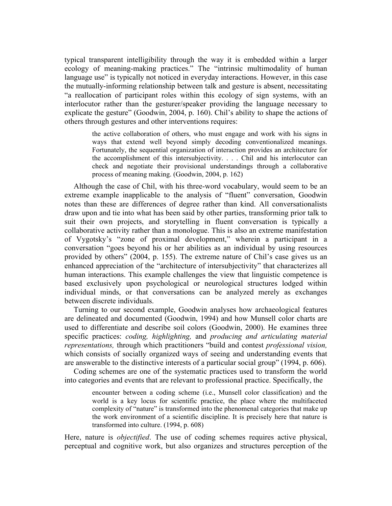typical transparent intelligibility through the way it is embedded within a larger ecology of meaning-making practices." The "intrinsic multimodality of human language use" is typically not noticed in everyday interactions. However, in this case the mutually-informing relationship between talk and gesture is absent, necessitating "a reallocation of participant roles within this ecology of sign systems, with an interlocutor rather than the gesturer/speaker providing the language necessary to explicate the gesture" (Goodwin, 2004, p. 160). Chil's ability to shape the actions of others through gestures and other interventions requires:

> the active collaboration of others, who must engage and work with his signs in ways that extend well beyond simply decoding conventionalized meanings. Fortunately, the sequential organization of interaction provides an architecture for the accomplishment of this intersubjectivity. . . . Chil and his interlocutor can check and negotiate their provisional understandings through a collaborative process of meaning making. (Goodwin, 2004, p. 162)

Although the case of Chil, with his three-word vocabulary, would seem to be an extreme example inapplicable to the analysis of "fluent" conversation, Goodwin notes than these are differences of degree rather than kind. All conversationalists draw upon and tie into what has been said by other parties, transforming prior talk to suit their own projects, and storytelling in fluent conversation is typically a collaborative activity rather than a monologue. This is also an extreme manifestation of Vygotsky's "zone of proximal development," wherein a participant in a conversation "goes beyond his or her abilities as an individual by using resources provided by others" (2004, p. 155). The extreme nature of Chil's case gives us an enhanced appreciation of the "architecture of intersubjectivity" that characterizes all human interactions. This example challenges the view that linguistic competence is based exclusively upon psychological or neurological structures lodged within individual minds, or that conversations can be analyzed merely as exchanges between discrete individuals.

Turning to our second example, Goodwin analyses how archaeological features are delineated and documented (Goodwin, 1994) and how Munsell color charts are used to differentiate and describe soil colors (Goodwin, 2000). He examines three specific practices: *coding, highlighting,* and *producing and articulating material representations,* through which practitioners "build and contest *professional vision,* which consists of socially organized ways of seeing and understanding events that are answerable to the distinctive interests of a particular social group" (1994, p. 606).

Coding schemes are one of the systematic practices used to transform the world into categories and events that are relevant to professional practice. Specifically, the

> encounter between a coding scheme (i.e., Munsell color classification) and the world is a key locus for scientific practice, the place where the multifaceted complexity of "nature" is transformed into the phenomenal categories that make up the work environment of a scientific discipline. It is precisely here that nature is transformed into culture. (1994, p. 608)

Here, nature is *objectified*. The use of coding schemes requires active physical, perceptual and cognitive work, but also organizes and structures perception of the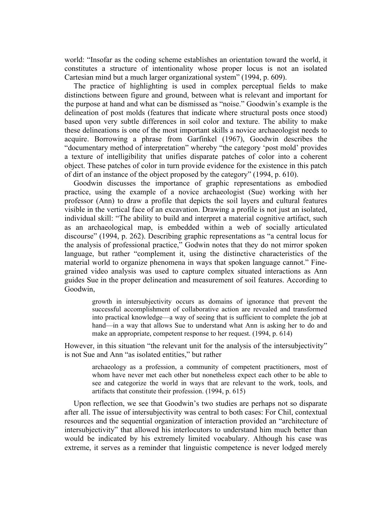world: "Insofar as the coding scheme establishes an orientation toward the world, it constitutes a structure of intentionality whose proper locus is not an isolated Cartesian mind but a much larger organizational system" (1994, p. 609).

The practice of highlighting is used in complex perceptual fields to make distinctions between figure and ground, between what is relevant and important for the purpose at hand and what can be dismissed as "noise." Goodwin's example is the delineation of post molds (features that indicate where structural posts once stood) based upon very subtle differences in soil color and texture. The ability to make these delineations is one of the most important skills a novice archaeologist needs to acquire. Borrowing a phrase from Garfinkel (1967), Goodwin describes the "documentary method of interpretation" whereby "the category 'post mold' provides a texture of intelligibility that unifies disparate patches of color into a coherent object. These patches of color in turn provide evidence for the existence in this patch of dirt of an instance of the object proposed by the category" (1994, p. 610).

Goodwin discusses the importance of graphic representations as embodied practice, using the example of a novice archaeologist (Sue) working with her professor (Ann) to draw a profile that depicts the soil layers and cultural features visible in the vertical face of an excavation. Drawing a profile is not just an isolated, individual skill: "The ability to build and interpret a material cognitive artifact, such as an archaeological map, is embedded within a web of socially articulated discourse" (1994, p. 262). Describing graphic representations as "a central locus for the analysis of professional practice," Godwin notes that they do not mirror spoken language, but rather "complement it, using the distinctive characteristics of the material world to organize phenomena in ways that spoken language cannot." Finegrained video analysis was used to capture complex situated interactions as Ann guides Sue in the proper delineation and measurement of soil features. According to Goodwin,

> growth in intersubjectivity occurs as domains of ignorance that prevent the successful accomplishment of collaborative action are revealed and transformed into practical knowledge—a way of seeing that is sufficient to complete the job at hand—in a way that allows Sue to understand what Ann is asking her to do and make an appropriate, competent response to her request. (1994, p. 614)

However, in this situation "the relevant unit for the analysis of the intersubjectivity" is not Sue and Ann "as isolated entities," but rather

> archaeology as a profession, a community of competent practitioners, most of whom have never met each other but nonetheless expect each other to be able to see and categorize the world in ways that are relevant to the work, tools, and artifacts that constitute their profession. (1994, p. 615)

Upon reflection, we see that Goodwin's two studies are perhaps not so disparate after all. The issue of intersubjectivity was central to both cases: For Chil, contextual resources and the sequential organization of interaction provided an "architecture of intersubjectivity" that allowed his interlocutors to understand him much better than would be indicated by his extremely limited vocabulary. Although his case was extreme, it serves as a reminder that linguistic competence is never lodged merely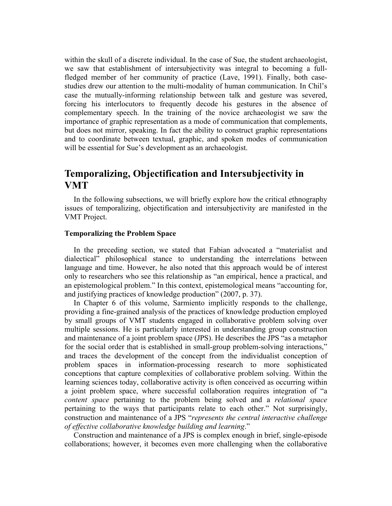within the skull of a discrete individual. In the case of Sue, the student archaeologist, we saw that establishment of intersubjectivity was integral to becoming a fullfledged member of her community of practice (Lave, 1991). Finally, both casestudies drew our attention to the multi-modality of human communication. In Chil's case the mutually-informing relationship between talk and gesture was severed, forcing his interlocutors to frequently decode his gestures in the absence of complementary speech. In the training of the novice archaeologist we saw the importance of graphic representation as a mode of communication that complements, but does not mirror, speaking. In fact the ability to construct graphic representations and to coordinate between textual, graphic, and spoken modes of communication will be essential for Sue's development as an archaeologist.

# **Temporalizing, Objectification and Intersubjectivity in VMT**

In the following subsections, we will briefly explore how the critical ethnography issues of temporalizing, objectification and intersubjectivity are manifested in the VMT Project.

### **Temporalizing the Problem Space**

In the preceding section, we stated that Fabian advocated a "materialist and dialectical" philosophical stance to understanding the interrelations between language and time. However, he also noted that this approach would be of interest only to researchers who see this relationship as "an empirical, hence a practical, and an epistemological problem." In this context, epistemological means "accounting for, and justifying practices of knowledge production" (2007, p. 37).

In Chapter 6 of this volume, Sarmiento implicitly responds to the challenge, providing a fine-grained analysis of the practices of knowledge production employed by small groups of VMT students engaged in collaborative problem solving over multiple sessions. He is particularly interested in understanding group construction and maintenance of a joint problem space (JPS). He describes the JPS "as a metaphor for the social order that is established in small-group problem-solving interactions," and traces the development of the concept from the individualist conception of problem spaces in information-processing research to more sophisticated conceptions that capture complexities of collaborative problem solving. Within the learning sciences today, collaborative activity is often conceived as occurring within a joint problem space, where successful collaboration requires integration of "a *content space* pertaining to the problem being solved and a *relational space* pertaining to the ways that participants relate to each other." Not surprisingly, construction and maintenance of a JPS "*represents the central interactive challenge of effective collaborative knowledge building and learning*."

Construction and maintenance of a JPS is complex enough in brief, single-episode collaborations; however, it becomes even more challenging when the collaborative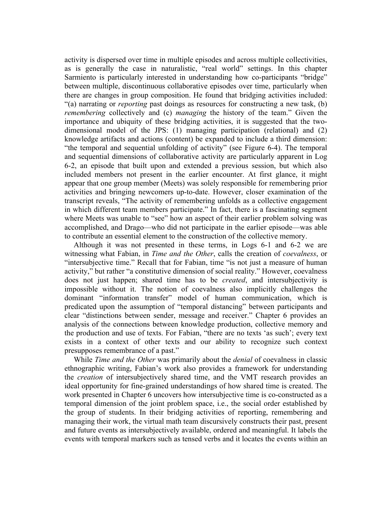activity is dispersed over time in multiple episodes and across multiple collectivities, as is generally the case in naturalistic, "real world" settings. In this chapter Sarmiento is particularly interested in understanding how co-participants "bridge" between multiple, discontinuous collaborative episodes over time, particularly when there are changes in group composition. He found that bridging activities included: "(a) narrating or *reporting* past doings as resources for constructing a new task, (b) *remembering* collectively and (c) *managing* the history of the team." Given the importance and ubiquity of these bridging activities, it is suggested that the twodimensional model of the JPS: (1) managing participation (relational) and (2) knowledge artifacts and actions (content) be expanded to include a third dimension: "the temporal and sequential unfolding of activity" (see Figure 6-4). The temporal and sequential dimensions of collaborative activity are particularly apparent in Log 6-2, an episode that built upon and extended a previous session, but which also included members not present in the earlier encounter. At first glance, it might appear that one group member (Meets) was solely responsible for remembering prior activities and bringing newcomers up-to-date. However, closer examination of the transcript reveals, "The activity of remembering unfolds as a collective engagement in which different team members participate." In fact, there is a fascinating segment where Meets was unable to "see" how an aspect of their earlier problem solving was accomplished, and Drago—who did not participate in the earlier episode—was able to contribute an essential element to the construction of the collective memory.

Although it was not presented in these terms, in Logs 6-1 and 6-2 we are witnessing what Fabian, in *Time and the Other*, calls the creation of *coevalness*, or "intersubjective time." Recall that for Fabian, time "is not just a measure of human activity," but rather "a constitutive dimension of social reality." However, coevalness does not just happen; shared time has to be *created*, and intersubjectivity is impossible without it. The notion of coevalness also implicitly challenges the dominant "information transfer" model of human communication, which is predicated upon the assumption of "temporal distancing" between participants and clear "distinctions between sender, message and receiver." Chapter 6 provides an analysis of the connections between knowledge production, collective memory and the production and use of texts. For Fabian, "there are no texts 'as such'; every text exists in a context of other texts and our ability to recognize such context presupposes remembrance of a past."

While *Time and the Other* was primarily about the *denial* of coevalness in classic ethnographic writing, Fabian's work also provides a framework for understanding the *creation* of intersubjectively shared time, and the VMT research provides an ideal opportunity for fine-grained understandings of how shared time is created. The work presented in Chapter 6 uncovers how intersubjective time is co-constructed as a temporal dimension of the joint problem space, i.e., the social order established by the group of students. In their bridging activities of reporting, remembering and managing their work, the virtual math team discursively constructs their past, present and future events as intersubjectively available, ordered and meaningful. It labels the events with temporal markers such as tensed verbs and it locates the events within an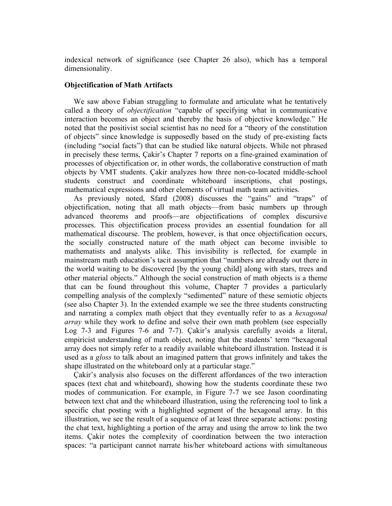indexical network of significance (see Chapter 26 also), which has a temporal dimensionality.

### **Objectification of Math Artifacts**

We saw above Fabian struggling to formulate and articulate what he tentatively called a theory of *objectification* "capable of specifying what in communicative interaction becomes an object and thereby the basis of objective knowledge." He noted that the positivist social scientist has no need for a "theory of the constitution of objects" since knowledge is supposedly based on the study of pre-existing facts (including "social facts") that can be studied like natural objects. While not phrased in precisely these terms, Çakir's Chapter 7 reports on a fine-grained examination of processes of objectification or, in other words, the collaborative construction of math objects by VMT students. Çakir analyzes how three non-co-located middle-school students construct and coordinate whiteboard inscriptions, chat postings, mathematical expressions and other elements of virtual math team activities.

As previously noted, Sfard (2008) discusses the "gains" and "traps" of objectification, noting that all math objects—from basic numbers up through advanced theorems and proofs—are objectifications of complex discursive processes. This objectification process provides an essential foundation for all mathematical discourse. The problem, however, is that once objectification occurs, the socially constructed nature of the math object can become invisible to mathematists and analysts alike. This invisibility is reflected, for example in mainstream math education's tacit assumption that "numbers are already out there in the world waiting to be discovered [by the young child] along with stars, trees and other material objects." Although the social construction of math objects is a theme that can be found throughout this volume, Chapter 7 provides a particularly compelling analysis of the complexly "sedimented" nature of these semiotic objects (see also Chapter 3). In the extended example we see the three students constructing and narrating a complex math object that they eventually refer to as a *hexagonal array* while they work to define and solve their own math problem (see especially Log 7-3 and Figures 7-6 and 7-7). Çakir's analysis carefully avoids a literal, empiricist understanding of math object, noting that the students' term "hexagonal array does not simply refer to a readily available whiteboard illustration. Instead it is used as a *gloss* to talk about an imagined pattern that grows infinitely and takes the shape illustrated on the whiteboard only at a particular stage."

Çakir's analysis also focuses on the different affordances of the two interaction spaces (text chat and whiteboard), showing how the students coordinate these two modes of communication. For example, in Figure 7-7 we see Jason coordinating between text chat and the whiteboard illustration, using the referencing tool to link a specific chat posting with a highlighted segment of the hexagonal array. In this illustration, we see the result of a sequence of at least three separate actions: posting the chat text, highlighting a portion of the array and using the arrow to link the two items. Çakir notes the complexity of coordination between the two interaction spaces: "a participant cannot narrate his/her whiteboard actions with simultaneous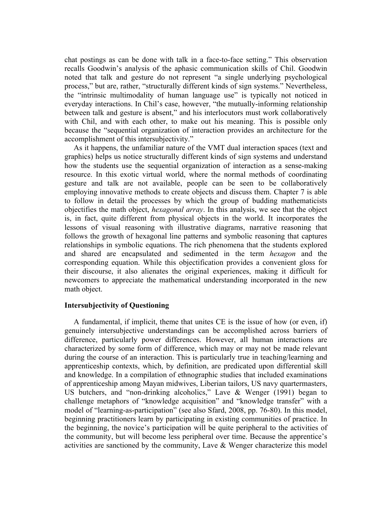chat postings as can be done with talk in a face-to-face setting." This observation recalls Goodwin's analysis of the aphasic communication skills of Chil. Goodwin noted that talk and gesture do not represent "a single underlying psychological process," but are, rather, "structurally different kinds of sign systems." Nevertheless, the "intrinsic multimodality of human language use" is typically not noticed in everyday interactions. In Chil's case, however, "the mutually-informing relationship between talk and gesture is absent," and his interlocutors must work collaboratively with Chil, and with each other, to make out his meaning. This is possible only because the "sequential organization of interaction provides an architecture for the accomplishment of this intersubjectivity."

As it happens, the unfamiliar nature of the VMT dual interaction spaces (text and graphics) helps us notice structurally different kinds of sign systems and understand how the students use the sequential organization of interaction as a sense-making resource. In this exotic virtual world, where the normal methods of coordinating gesture and talk are not available, people can be seen to be collaboratively employing innovative methods to create objects and discuss them. Chapter 7 is able to follow in detail the processes by which the group of budding mathematicists objectifies the math object, *hexagonal array*. In this analysis, we see that the object is, in fact, quite different from physical objects in the world. It incorporates the lessons of visual reasoning with illustrative diagrams, narrative reasoning that follows the growth of hexagonal line patterns and symbolic reasoning that captures relationships in symbolic equations. The rich phenomena that the students explored and shared are encapsulated and sedimented in the term *hexagon* and the corresponding equation. While this objectification provides a convenient gloss for their discourse, it also alienates the original experiences, making it difficult for newcomers to appreciate the mathematical understanding incorporated in the new math object.

#### **Intersubjectivity of Questioning**

A fundamental, if implicit, theme that unites CE is the issue of how (or even, if) genuinely intersubjective understandings can be accomplished across barriers of difference, particularly power differences. However, all human interactions are characterized by some form of difference, which may or may not be made relevant during the course of an interaction. This is particularly true in teaching/learning and apprenticeship contexts, which, by definition, are predicated upon differential skill and knowledge. In a compilation of ethnographic studies that included examinations of apprenticeship among Mayan midwives, Liberian tailors, US navy quartermasters, US butchers, and "non-drinking alcoholics," Lave & Wenger (1991) began to challenge metaphors of "knowledge acquisition" and "knowledge transfer" with a model of "learning-as-participation" (see also Sfard, 2008, pp. 76-80). In this model, beginning practitioners learn by participating in existing communities of practice. In the beginning, the novice's participation will be quite peripheral to the activities of the community, but will become less peripheral over time. Because the apprentice's activities are sanctioned by the community, Lave & Wenger characterize this model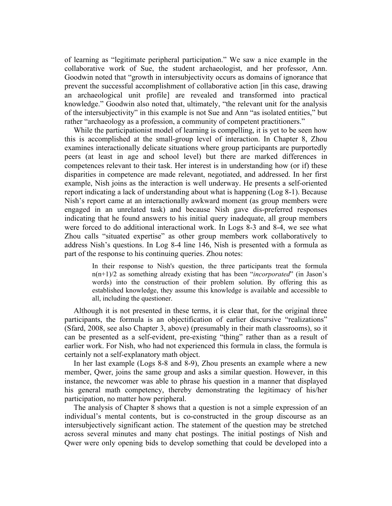of learning as "legitimate peripheral participation." We saw a nice example in the collaborative work of Sue, the student archaeologist, and her professor, Ann. Goodwin noted that "growth in intersubjectivity occurs as domains of ignorance that prevent the successful accomplishment of collaborative action [in this case, drawing an archaeological unit profile] are revealed and transformed into practical knowledge." Goodwin also noted that, ultimately, "the relevant unit for the analysis of the intersubjectivity" in this example is not Sue and Ann "as isolated entities," but rather "archaeology as a profession, a community of competent practitioners."

While the participationist model of learning is compelling, it is yet to be seen how this is accomplished at the small-group level of interaction. In Chapter 8, Zhou examines interactionally delicate situations where group participants are purportedly peers (at least in age and school level) but there are marked differences in competences relevant to their task. Her interest is in understanding how (or if) these disparities in competence are made relevant, negotiated, and addressed. In her first example, Nish joins as the interaction is well underway. He presents a self-oriented report indicating a lack of understanding about what is happening (Log 8-1). Because Nish's report came at an interactionally awkward moment (as group members were engaged in an unrelated task) and because Nish gave dis-preferred responses indicating that he found answers to his initial query inadequate, all group members were forced to do additional interactional work. In Logs 8-3 and 8-4, we see what Zhou calls "situated expertise" as other group members work collaboratively to address Nish's questions. In Log 8-4 line 146, Nish is presented with a formula as part of the response to his continuing queries. Zhou notes:

> In their response to Nish's question, the three participants treat the formula n(n+1)/2 as something already existing that has been "*incorporated*" (in Jason's words) into the construction of their problem solution. By offering this as established knowledge, they assume this knowledge is available and accessible to all, including the questioner.

Although it is not presented in these terms, it is clear that, for the original three participants, the formula is an objectification of earlier discursive "realizations" (Sfard, 2008, see also Chapter 3, above) (presumably in their math classrooms), so it can be presented as a self-evident, pre-existing "thing" rather than as a result of earlier work. For Nish, who had not experienced this formula in class, the formula is certainly not a self-explanatory math object.

In her last example (Logs 8-8 and 8-9), Zhou presents an example where a new member, Qwer, joins the same group and asks a similar question. However, in this instance, the newcomer was able to phrase his question in a manner that displayed his general math competency, thereby demonstrating the legitimacy of his/her participation, no matter how peripheral.

The analysis of Chapter 8 shows that a question is not a simple expression of an individual's mental contents, but is co-constructed in the group discourse as an intersubjectively significant action. The statement of the question may be stretched across several minutes and many chat postings. The initial postings of Nish and Qwer were only opening bids to develop something that could be developed into a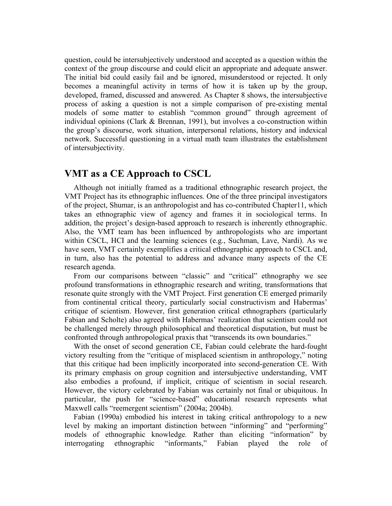question, could be intersubjectively understood and accepted as a question within the context of the group discourse and could elicit an appropriate and adequate answer. The initial bid could easily fail and be ignored, misunderstood or rejected. It only becomes a meaningful activity in terms of how it is taken up by the group, developed, framed, discussed and answered. As Chapter 8 shows, the intersubjective process of asking a question is not a simple comparison of pre-existing mental models of some matter to establish "common ground" through agreement of individual opinions (Clark & Brennan, 1991), but involves a co-construction within the group's discourse, work situation, interpersonal relations, history and indexical network. Successful questioning in a virtual math team illustrates the establishment of intersubjectivity.

## **VMT as a CE Approach to CSCL**

Although not initially framed as a traditional ethnographic research project, the VMT Project has its ethnographic influences. One of the three principal investigators of the project, Shumar, is an anthropologist and has co-contributed Chapter11, which takes an ethnographic view of agency and frames it in sociological terms. In addition, the project's design-based approach to research is inherently ethnographic. Also, the VMT team has been influenced by anthropologists who are important within CSCL, HCI and the learning sciences (e.g., Suchman, Lave, Nardi). As we have seen, VMT certainly exemplifies a critical ethnographic approach to CSCL and, in turn, also has the potential to address and advance many aspects of the CE research agenda.

From our comparisons between "classic" and "critical" ethnography we see profound transformations in ethnographic research and writing, transformations that resonate quite strongly with the VMT Project. First generation CE emerged primarily from continental critical theory, particularly social constructivism and Habermas' critique of scientism. However, first generation critical ethnographers (particularly Fabian and Scholte) also agreed with Habermas' realization that scientism could not be challenged merely through philosophical and theoretical disputation, but must be confronted through anthropological praxis that "transcends its own boundaries."

With the onset of second generation CE, Fabian could celebrate the hard-fought victory resulting from the "critique of misplaced scientism in anthropology," noting that this critique had been implicitly incorporated into second-generation CE. With its primary emphasis on group cognition and intersubjective understanding, VMT also embodies a profound, if implicit, critique of scientism in social research. However, the victory celebrated by Fabian was certainly not final or ubiquitous. In particular, the push for "science-based" educational research represents what Maxwell calls "reemergent scientism" (2004a; 2004b).

Fabian (1990a) embodied his interest in taking critical anthropology to a new level by making an important distinction between "informing" and "performing" models of ethnographic knowledge*.* Rather than eliciting "information" by interrogating ethnographic "informants," Fabian played the role of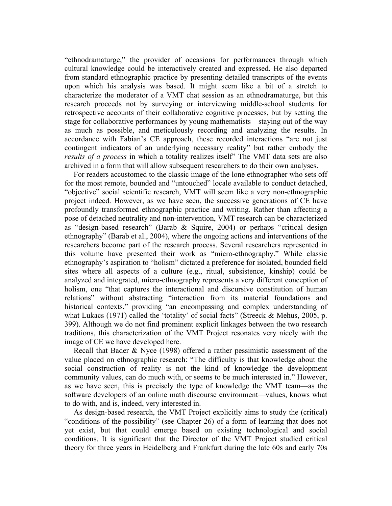"ethnodramaturge," the provider of occasions for performances through which cultural knowledge could be interactively created and expressed. He also departed from standard ethnographic practice by presenting detailed transcripts of the events upon which his analysis was based. It might seem like a bit of a stretch to characterize the moderator of a VMT chat session as an ethnodramaturge, but this research proceeds not by surveying or interviewing middle-school students for retrospective accounts of their collaborative cognitive processes, but by setting the stage for collaborative performances by young mathematists—staying out of the way as much as possible, and meticulously recording and analyzing the results. In accordance with Fabian's CE approach, these recorded interactions "are not just contingent indicators of an underlying necessary reality" but rather embody the *results of a process* in which a totality realizes itself" The VMT data sets are also archived in a form that will allow subsequent researchers to do their own analyses.

For readers accustomed to the classic image of the lone ethnographer who sets off for the most remote, bounded and "untouched" locale available to conduct detached, "objective" social scientific research, VMT will seem like a very non-ethnographic project indeed. However, as we have seen, the successive generations of CE have profoundly transformed ethnographic practice and writing. Rather than affecting a pose of detached neutrality and non-intervention, VMT research can be characterized as "design-based research" (Barab & Squire, 2004) or perhaps "critical design ethnography" (Barab et al., 2004), where the ongoing actions and interventions of the researchers become part of the research process. Several researchers represented in this volume have presented their work as "micro-ethnography." While classic ethnography's aspiration to "holism" dictated a preference for isolated, bounded field sites where all aspects of a culture (e.g., ritual, subsistence, kinship) could be analyzed and integrated, micro-ethnography represents a very different conception of holism, one "that captures the interactional and discursive constitution of human relations" without abstracting "interaction from its material foundations and historical contexts," providing "an encompassing and complex understanding of what Lukacs (1971) called the 'totality' of social facts'' (Streeck & Mehus, 2005, p. 399). Although we do not find prominent explicit linkages between the two research traditions, this characterization of the VMT Project resonates very nicely with the image of CE we have developed here.

Recall that Bader & Nyce (1998) offered a rather pessimistic assessment of the value placed on ethnographic research: "The difficulty is that knowledge about the social construction of reality is not the kind of knowledge the development community values, can do much with, or seems to be much interested in." However, as we have seen, this is precisely the type of knowledge the VMT team—as the software developers of an online math discourse environment—values, knows what to do with, and is, indeed, very interested in.

As design-based research, the VMT Project explicitly aims to study the (critical) "conditions of the possibility" (see Chapter 26) of a form of learning that does not yet exist, but that could emerge based on existing technological and social conditions. It is significant that the Director of the VMT Project studied critical theory for three years in Heidelberg and Frankfurt during the late 60s and early 70s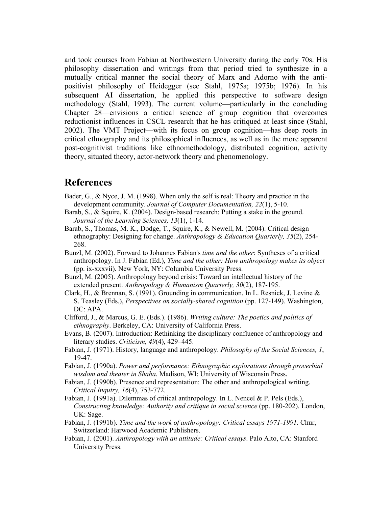and took courses from Fabian at Northwestern University during the early 70s. His philosophy dissertation and writings from that period tried to synthesize in a mutually critical manner the social theory of Marx and Adorno with the antipositivist philosophy of Heidegger (see Stahl, 1975a; 1975b; 1976). In his subsequent AI dissertation, he applied this perspective to software design methodology (Stahl, 1993). The current volume—particularly in the concluding Chapter 28—envisions a critical science of group cognition that overcomes reductionist influences in CSCL research that he has critiqued at least since (Stahl, 2002). The VMT Project—with its focus on group cognition—has deep roots in critical ethnography and its philosophical influences, as well as in the more apparent post-cognitivist traditions like ethnomethodology, distributed cognition, activity theory, situated theory, actor-network theory and phenomenology.

# **References**

- Bader, G., & Nyce, J. M. (1998). When only the self is real: Theory and practice in the development community. *Journal of Computer Documentation, 22*(1), 5-10.
- Barab, S., & Squire, K. (2004). Design-based research: Putting a stake in the ground. *Journal of the Learning Sciences, 13*(1), 1-14.
- Barab, S., Thomas, M. K., Dodge, T., Squire, K., & Newell, M. (2004). Critical design ethnography: Designing for change. *Anthropology & Education Quarterly, 35*(2), 254- 268.
- Bunzl, M. (2002). Forward to Johannes Fabian's *time and the other*: Syntheses of a critical anthropology. In J. Fabian (Ed.), *Time and the other: How anthropology makes its object* (pp. ix-xxxvii). New York, NY: Columbia University Press.
- Bunzl, M. (2005). Anthropology beyond crisis: Toward an intellectual history of the extended present. *Anthropology & Humanism Quarterly, 30*(2), 187-195.
- Clark, H., & Brennan, S. (1991). Grounding in communication. In L. Resnick, J. Levine & S. Teasley (Eds.), *Perspectives on socially-shared cognition* (pp. 127-149). Washington, DC: APA.
- Clifford, J., & Marcus, G. E. (Eds.). (1986). *Writing culture: The poetics and politics of ethnography*. Berkeley, CA: University of California Press.
- Evans, B. (2007). Introduction: Rethinking the disciplinary confluence of anthropology and literary studies. *Criticism, 49*(4), 429–445.
- Fabian, J. (1971). History, language and anthropology. *Philosophy of the Social Sciences, 1*, 19-47.
- Fabian, J. (1990a). *Power and performance: Ethnographic explorations through proverbial wisdom and theater in Shaba*. Madison, WI: University of Wisconsin Press.
- Fabian, J. (1990b). Presence and representation: The other and anthropological writing. *Critical Inquiry, 16*(4), 753-772.
- Fabian, J. (1991a). Dilemmas of critical anthropology. In L. Nencel & P. Pels (Eds.), *Constructing knowledge: Authority and critique in social science* (pp. 180-202). London, UK: Sage.
- Fabian, J. (1991b). *Time and the work of anthropology: Critical essays 1971-1991*. Chur, Switzerland: Harwood Academic Publishers.
- Fabian, J. (2001). *Anthropology with an attitude: Critical essays*. Palo Alto, CA: Stanford University Press.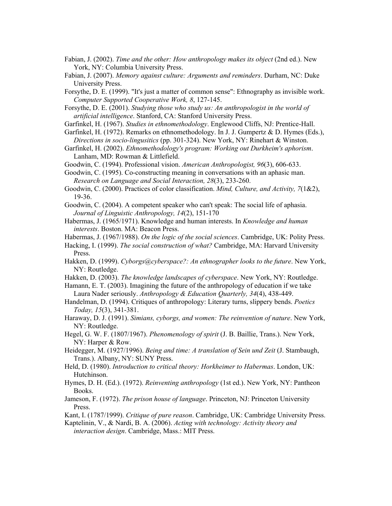- Fabian, J. (2002). *Time and the other: How anthropology makes its object* (2nd ed.). New York, NY: Columbia University Press.
- Fabian, J. (2007). *Memory against culture: Arguments and reminders*. Durham, NC: Duke University Press.
- Forsythe, D. E. (1999). "It's just a matter of common sense": Ethnography as invisible work. *Computer Supported Cooperative Work, 8*, 127-145.

Forsythe, D. E. (2001). *Studying those who study us: An anthropologist in the world of artificial intelligence*. Stanford, CA: Stanford University Press.

Garfinkel, H. (1967). *Studies in ethnomethodology*. Englewood Cliffs, NJ: Prentice-Hall.

Garfinkel, H. (1972). Remarks on ethnomethodology. In J. J. Gumpertz & D. Hymes (Eds.), *Directions in socio-lingusitics* (pp. 301-324). New York, NY: Rinehart & Winston.

Garfinkel, H. (2002). *Ethnomethodology's program: Working out Durkheim's aphorism*. Lanham, MD: Rowman & Littlefield.

Goodwin, C. (1994). Professional vision. *American Anthropologist, 96*(3), 606-633.

Goodwin, C. (1995). Co-constructing meaning in conversations with an aphasic man. *Research on Language and Social Interaction, 28*(3), 233-260.

Goodwin, C. (2000). Practices of color classification. *Mind, Culture, and Activity, 7*(1&2), 19-36.

Goodwin, C. (2004). A competent speaker who can't speak: The social life of aphasia. *Journal of Linguistic Anthropology, 14*(2), 151-170

Habermas, J. (1965/1971). Knowledge and human interests. In *Knowledge and human interests*. Boston. MA: Beacon Press.

Habermas, J. (1967/1988). *On the logic of the social sciences*. Cambridge, UK: Polity Press.

Hacking, I. (1999). *The social construction of what?* Cambridge, MA: Harvard University Press.

Hakken, D. (1999). *Cyborgs@cyberspace?: An ethnographer looks to the future*. New York, NY: Routledge.

Hakken, D. (2003). *The knowledge landscapes of cyberspace*. New York, NY: Routledge.

Hamann, E. T. (2003). Imagining the future of the anthropology of education if we take Laura Nader seriously. *Anthropology & Education Quarterly, 34*(4), 438-449.

Handelman, D. (1994). Critiques of anthropology: Literary turns, slippery bends. *Poetics Today, 15*(3), 341-381.

Haraway, D. J. (1991). *Simians, cyborgs, and women: The reinvention of nature*. New York, NY: Routledge.

Hegel, G. W. F. (1807/1967). *Phenomenology of spirit* (J. B. Baillie, Trans.). New York, NY: Harper & Row.

Heidegger, M. (1927/1996). *Being and time: A translation of Sein und Zeit* (J. Stambaugh, Trans.). Albany, NY: SUNY Press.

Held, D. (1980). *Introduction to critical theory: Horkheimer to Habermas*. London, UK: Hutchinson.

Hymes, D. H. (Ed.). (1972). *Reinventing anthropology* (1st ed.). New York, NY: Pantheon Books.

Jameson, F. (1972). *The prison house of language*. Princeton, NJ: Princeton University Press.

Kant, I. (1787/1999). *Critique of pure reason*. Cambridge, UK: Cambridge University Press.

Kaptelinin, V., & Nardi, B. A. (2006). *Acting with technology: Activity theory and interaction design*. Cambridge, Mass.: MIT Press.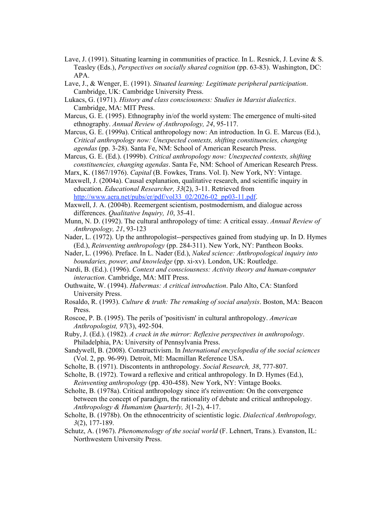- Lave, J. (1991). Situating learning in communities of practice. In L. Resnick, J. Levine & S. Teasley (Eds.), *Perspectives on socially shared cognition* (pp. 63-83). Washington, DC: APA.
- Lave, J., & Wenger, E. (1991). *Situated learning: Legitimate peripheral participation*. Cambridge, UK: Cambridge University Press.
- Lukacs, G. (1971). *History and class consciousness: Studies in Marxist dialectics*. Cambridge, MA: MIT Press.
- Marcus, G. E. (1995). Ethnography in/of the world system: The emergence of multi-sited ethnography. *Annual Review of Anthropology, 24*, 95-117.
- Marcus, G. E. (1999a). Critical anthropology now: An introduction. In G. E. Marcus (Ed.), *Critical anthropology now: Unexpected contexts, shifting constituencies, changing agendas* (pp. 3-28). Santa Fe, NM: School of American Research Press.
- Marcus, G. E. (Ed.). (1999b). *Critical anthropology now: Unexpected contexts, shifting constituencies, changing agendas*. Santa Fe, NM: School of American Research Press.
- Marx, K. (1867/1976). *Capital* (B. Fowkes, Trans. Vol. I). New York, NY: Vintage.
- Maxwell, J. (2004a). Causal explanation, qualitative research, and scientific inquiry in education. *Educational Researcher, 33*(2), 3-11. Retrieved from http://www.aera.net/pubs/er/pdf/vol33\_02/2026-02\_pp03-11.pdf.
- Maxwell, J. A. (2004b). Reemergent scientism, postmodernism, and dialogue across differences. *Qualitative Inquiry, 10*, 35-41.
- Munn, N. D. (1992). The cultural anthropology of time: A critical essay. *Annual Review of Anthropology, 21*, 93-123
- Nader, L. (1972). Up the anthropologist--perspectives gained from studying up. In D. Hymes (Ed.), *Reinventing anthropology* (pp. 284-311). New York, NY: Pantheon Books.
- Nader, L. (1996). Preface. In L. Nader (Ed.), *Naked science: Anthropological inquiry into boundaries, power, and knowledge* (pp. xi-xv). London, UK: Routledge.
- Nardi, B. (Ed.). (1996). *Context and consciousness: Activity theory and human-computer interaction*. Cambridge, MA: MIT Press.
- Outhwaite, W. (1994). *Habermas: A critical introduction*. Palo Alto, CA: Stanford University Press.
- Rosaldo, R. (1993). *Culture & truth: The remaking of social analysis*. Boston, MA: Beacon Press.
- Roscoe, P. B. (1995). The perils of 'positivism' in cultural anthropology. *American Anthropologist, 97*(3), 492-504.
- Ruby, J. (Ed.). (1982). *A crack in the mirror: Reflexive perspectives in anthropology*. Philadelphia, PA: University of Pennsylvania Press.
- Sandywell, B. (2008). Constructivism. In *International encyclopedia of the social sciences* (Vol. 2, pp. 96-99). Detroit, MI: Macmillan Reference USA.
- Scholte, B. (1971). Discontents in anthropology. *Social Research, 38*, 777-807.
- Scholte, B. (1972). Toward a reflexive and critical anthropology. In D. Hymes (Ed.), *Reinventing anthropology* (pp. 430-458). New York, NY: Vintage Books.
- Scholte, B. (1978a). Critical anthropology since it's reinvention: On the convergence between the concept of paradigm, the rationality of debate and critical anthropology. *Anthropology & Humanism Quarterly, 3*(1-2), 4-17.
- Scholte, B. (1978b). On the ethnocentricity of scientistic logic. *Dialectical Anthropology, 3*(2), 177-189.
- Schutz, A. (1967). *Phenomenology of the social world* (F. Lehnert, Trans.). Evanston, IL: Northwestern University Press.